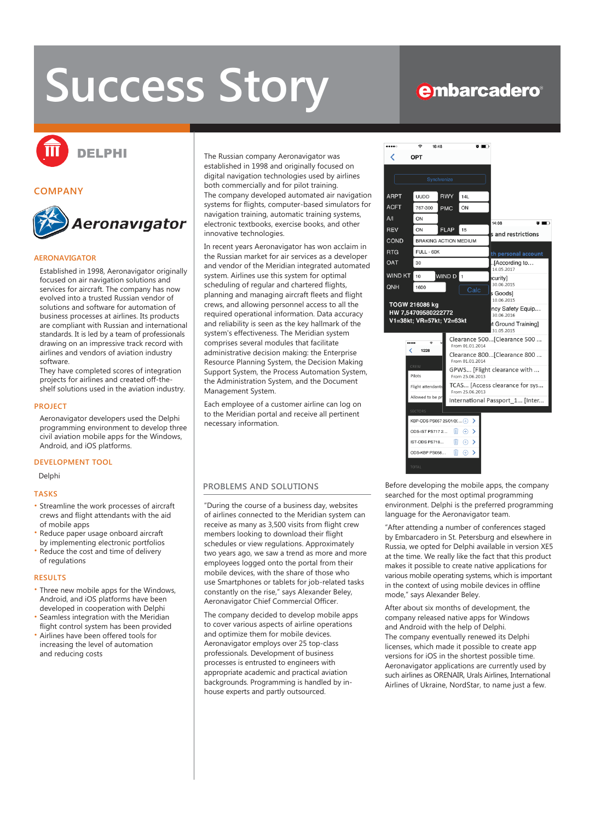# **Success Story**

# **embarcadero**®



## **COMPANY**



# **AERONAVIGATOR**

Established in 1998, Aeronavigator originally focused on air navigation solutions and services for aircraft. The company has now evolved into a trusted Russian vendor of solutions and software for automation of business processes at airlines. Its products are compliant with Russian and international standards. It is led by a team of professionals drawing on an impressive track record with airlines and vendors of aviation industry software.

They have completed scores of integration projects for airlines and created off-theshelf solutions used in the aviation industry.

#### **PROJECT**

Aeronavigator developers used the Delphi programming environment to develop three civil aviation mobile apps for the Windows, Android, and iOS platforms.

#### **DEVELOPMENT TOOL**

# Delphi

#### **TASKS**

- Streamline the work processes of aircraft crews and flight attendants with the aid of mobile apps
- Reduce paper usage onboard aircraft by implementing electronic portfolios
- Reduce the cost and time of delivery of regulations

#### **RESULTS**

- Three new mobile apps for the Windows, Android, and iOS platforms have been developed in cooperation with Delphi • Seamless integration with the Meridian
- flight control system has been provided • Airlines have been offered tools for
- increasing the level of automation and reducing costs

The Russian company Aeronavigator was established in 1998 and originally focused on digital navigation technologies used by airlines both commercially and for pilot training. The company developed automated air navigation systems for flights, computer-based simulators for navigation training, automatic training systems, electronic textbooks, exercise books, and other innovative technologies.

In recent years Aeronavigator has won acclaim in the Russian market for air services as a developer and vendor of the Meridian integrated automated system. Airlines use this system for optimal scheduling of regular and chartered flights, planning and managing aircraft fleets and flight crews, and allowing personnel access to all the required operational information. Data accuracy and reliability is seen as the key hallmark of the system's effectiveness. The Meridian system comprises several modules that facilitate administrative decision making: the Enterprise Resource Planning System, the Decision Making Support System, the Process Automation System, the Administration System, and the Document Management System.

Each employee of a customer airline can log on to the Meridian portal and receive all pertinent necessary information.

#### **PROBLEMS AND SOLUTIONS**

"During the course of a business day, websites of airlines connected to the Meridian system can receive as many as 3,500 visits from flight crew members looking to download their flight schedules or view regulations. Approximately two years ago, we saw a trend as more and more employees logged onto the portal from their mobile devices, with the share of those who use Smartphones or tablets for job-related tasks constantly on the rise," says Alexander Beley, Aeronavigator Chief Commercial Officer.

The company decided to develop mobile apps to cover various aspects of airline operations and optimize them for mobile devices. Aeronavigator employs over 25 top-class professionals. Development of business processes is entrusted to engineers with appropriate academic and practical aviation backgrounds. Programming is handled by inhouse experts and partly outsourced.



Before developing the mobile apps, the company searched for the most optimal programming environment. Delphi is the preferred programming language for the Aeronavigator team.

"After attending a number of conferences staged by Embarcadero in St. Petersburg and elsewhere in Russia, we opted for Delphi available in version XE5 at the time. We really like the fact that this product makes it possible to create native applications for various mobile operating systems, which is important in the context of using mobile devices in offline mode," says Alexander Beley.

After about six months of development, the company released native apps for Windows and Android with the help of Delphi. The company eventually renewed its Delphi licenses, which made it possible to create app versions for iOS in the shortest possible time. Aeronavigator applications are currently used by such airlines as ORENAIR, Urals Airlines, International Airlines of Ukraine, NordStar, to name just a few.